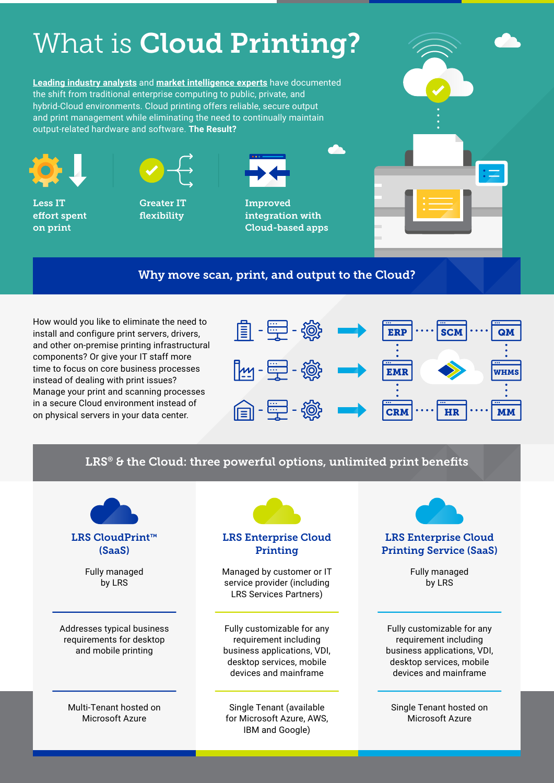## What is **Cloud Printing?**

**[Leading industry analysts](https://www.gartner.com/en/newsroom/press-releases/2022-02-09-gartner-says-more-than-half-of-enterprise-it-spending)** and **[market intelligence experts](https://www.idc.com/getdoc.jsp?containerId=prUS48208321)** have documented the shift from traditional enterprise computing to public, private, and hybrid-Cloud environments. Cloud printing offers reliable, secure output and print management while eliminating the need to continually maintain output-related hardware and software. **The Result?**



Less IT effort spent on print



Greater IT flexibility



Improved integration with Cloud-based apps



#### Why move scan, print, and output to the Cloud?

How would you like to eliminate the need to install and configure print servers, drivers, and other on-premise printing infrastructural components? Or give your IT staff more time to focus on core business processes instead of dealing with print issues? Manage your print and scanning processes in a secure Cloud environment instead of on physical servers in your data center.



### LRS<sup>®</sup> & the Cloud: three powerful options, unlimited print benefits